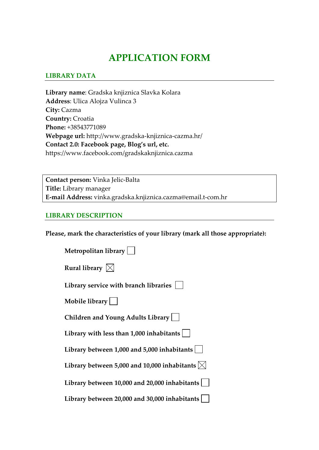# **APPLICATION FORM**

### **LIBRARY DATA**

**Library name**: Gradska knjiznica Slavka Kolara **Address**: Ulica Alojza Vulinca 3 **City:** Cazma **Country:** Croatia **Phone:** +38543771089 **Webpage url:** http://www.gradska‐knjiznica‐cazma.hr/ **Contact 2.0: Facebook page, Blog's url, etc.** https://www.facebook.com/gradskaknjiznica.cazma

**Contact person:** Vinka Jelic‐Balta **Title:** Library manager **E‐mail Address:** vinka.gradska.knjiznica.cazma@email.t‐com.hr

#### **LIBRARY DESCRIPTION**

**Please, mark the characteristics of your library (mark all those appropriate):**

| Metropolitan library                                            |
|-----------------------------------------------------------------|
| Rural library $\boxtimes$                                       |
| Library service with branch libraries                           |
| Mobile library                                                  |
| Children and Young Adults Library                               |
| Library with less than $1,000$ inhabitants $ $                  |
| Library between 1,000 and 5,000 inhabitants                     |
| Library between 5,000 and 10,000 inhabitants $\vert\angle\vert$ |
| Library between 10,000 and 20,000 inhabitants                   |
| Library between 20,000 and 30,000 inhabitants                   |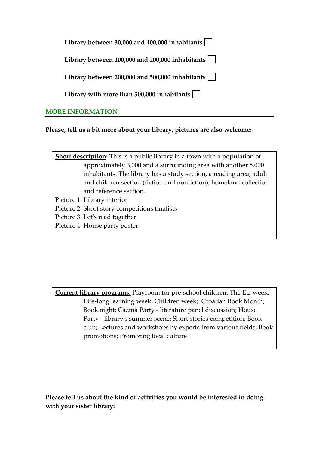| Library between 30,000 and 100,000 inhabitants $\vert \ \ \vert$ |
|------------------------------------------------------------------|
| Library between 100,000 and 200,000 inhabitants                  |
| Library between 200,000 and 500,000 inhabitants $\vert$          |
| Library with more than $500,000$ inhabitants $\vert \ \ \vert$   |
|                                                                  |

## **MORE INFORMATION**

**Please, tell us a bit more about your library, pictures are also welcome:** 

| <b>Short description:</b> This is a public library in a town with a population of |
|-----------------------------------------------------------------------------------|
| approximately 3,000 and a surrounding area with another 5,000                     |
| inhabitants. The library has a study section, a reading area, adult               |
| and children section (fiction and nonfiction), homeland collection                |
| and reference section.                                                            |
| Picture 1: Library interior                                                       |
| Picture 2: Short story competitions finalists                                     |
| $11$ $11$ $11$ $11$                                                               |

- Picture 3: Letʹs read together
- Picture 4: House party poster

**Current library programs:** Playroom for pre‐school children; The EU week; Life-long learning week; Children week; Croatian Book Month; Book night; Cazma Party ‐ literature panel discussion; House Party ‐ libraryʹs summer scene; Short stories competition; Book club; Lectures and workshops by experts from various fields; Book promotions; Promoting local culture

**Please tell us about the kind of activities you would be interested in doing with your sister library:**